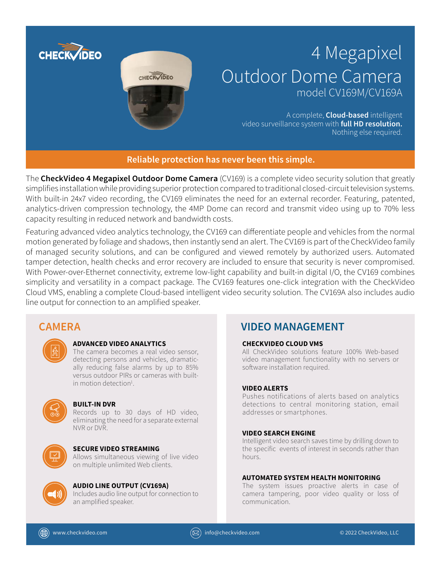

The **CheckVideo 4 Megapixel Outdoor Dome Camera** (CV169) is a complete video security solution that greatly simplifies installation while providing superior protection compared to traditional closed-circuit television systems. With built-in 24x7 video recording, the CV169 eliminates the need for an external recorder. Featuring, patented, analytics-driven compression technology, the 4MP Dome can record and transmit video using up to 70% less capacity resulting in reduced network and bandwidth costs.

Featuring advanced video analytics technology, the CV169 can differentiate people and vehicles from the normal motion generated by foliage and shadows, then instantly send an alert. The CV169 is part of the CheckVideo family of managed security solutions, and can be configured and viewed remotely by authorized users. Automated tamper detection, health checks and error recovery are included to ensure that security is never compromised. With Power-over-Ethernet connectivity, extreme low-light capability and built-in digital I/O, the CV169 combines simplicity and versatility in a compact package. The CV169 features one-click integration with the CheckVideo Cloud VMS, enabling a complete Cloud-based intelligent video security solution. The CV169A also includes audio line output for connection to an amplified speaker.



#### **ADVANCED VIDEO ANALYTICS**

The camera becomes a real video sensor, detecting persons and vehicles, dramatically reducing false alarms by up to 85% versus outdoor PIRs or cameras with builtin motion detection<sup>1</sup>.



#### **BUILT-IN DVR**

Records up to 30 days of HD video, eliminating the need for a separate external NVR or DVR.



#### **SECURE VIDEO STREAMING**

Allows simultaneous viewing of live video on multiple unlimited Web clients.



### **AUDIO LINE OUTPUT (CV169A)**

Includes audio line output for connection to an amplified speaker.

## **CAMERA VIDEO MANAGEMENT**

#### **CHECKVIDEO CLOUD VMS**

All CheckVideo solutions feature 100% Web-based video management functionality with no servers or software installation required.

#### **VIDEO ALERTS**

Pushes notifications of alerts based on analytics detections to central monitoring station, email addresses or smartphones.

#### **VIDEO SEARCH ENGINE**

Intelligent video search saves time by drilling down to the specific events of interest in seconds rather than hours.

#### **AUTOMATED SYSTEM HEALTH MONITORING**

The system issues proactive alerts in case of camera tampering, poor video quality or loss of communication.